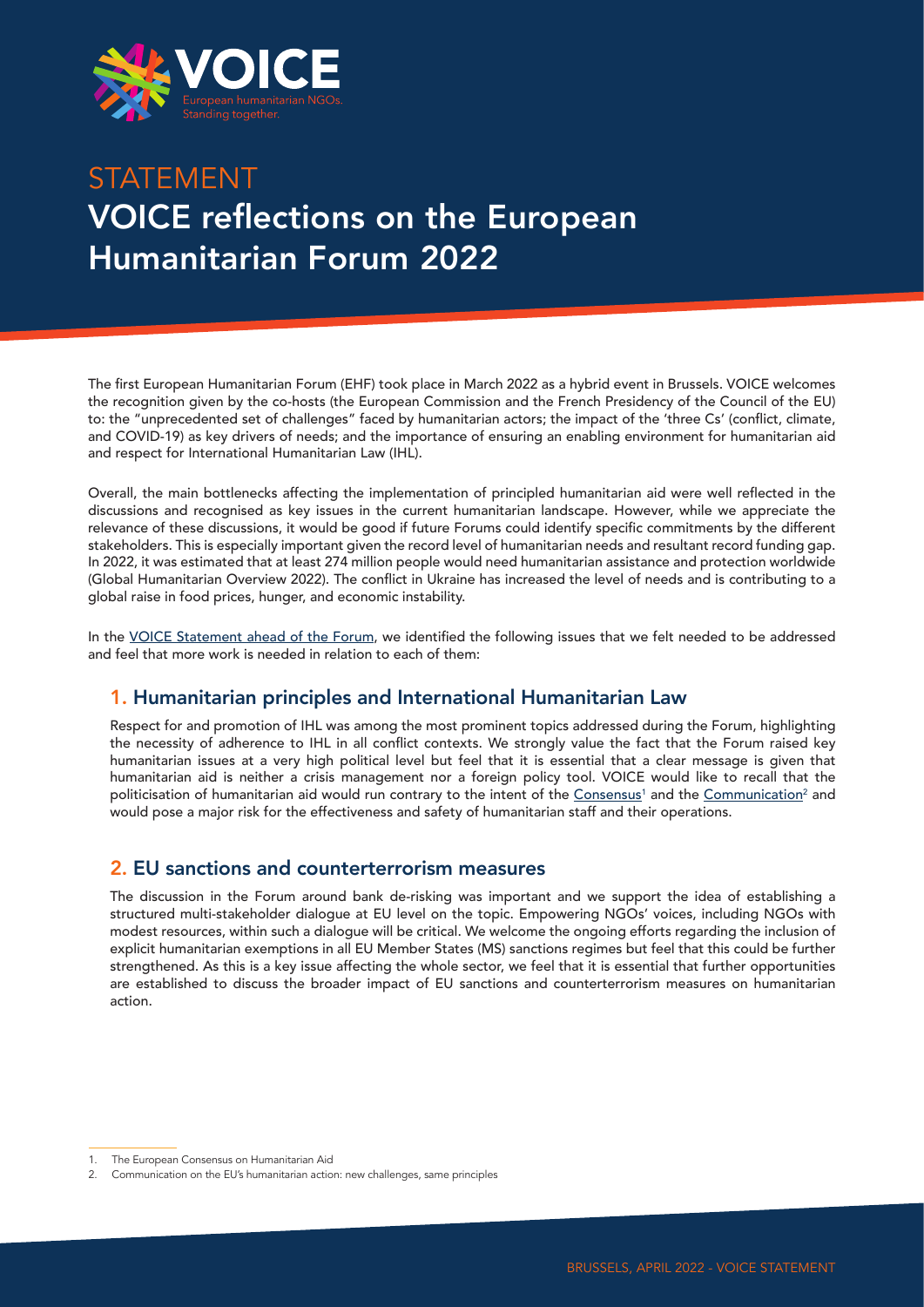

# STATEMENT VOICE reflections on the European Humanitarian Forum 2022

The first European Humanitarian Forum (EHF) took place in March 2022 as a hybrid event in Brussels. VOICE welcomes the recognition given by the co-hosts (the European Commission and the French Presidency of the Council of the EU) to: the "unprecedented set of challenges" faced by humanitarian actors; the impact of the 'three Cs' (conflict, climate, and COVID-19) as key drivers of needs; and the importance of ensuring an enabling environment for humanitarian aid and respect for International Humanitarian Law (IHL).

Overall, the main bottlenecks affecting the implementation of principled humanitarian aid were well reflected in the discussions and recognised as key issues in the current humanitarian landscape. However, while we appreciate the relevance of these discussions, it would be good if future Forums could identify specific commitments by the different stakeholders. This is especially important given the record level of humanitarian needs and resultant record funding gap. In 2022, it was estimated that at least 274 million people would need humanitarian assistance and protection worldwide (Global Humanitarian Overview 2022). The conflict in Ukraine has increased the level of needs and is contributing to a global raise in food prices, hunger, and economic instability.

In the [VOICE Statement ahead of the Forum](https://voiceeu.org/search?q=VOICE+statement+Forum+2022), we identified the following issues that we felt needed to be addressed and feel that more work is needed in relation to each of them:

## 1. Humanitarian principles and International Humanitarian Law

Respect for and promotion of IHL was among the most prominent topics addressed during the Forum, highlighting the necessity of adherence to IHL in all conflict contexts. We strongly value the fact that the Forum raised key humanitarian issues at a very high political level but feel that it is essential that a clear message is given that humanitarian aid is neither a crisis management nor a foreign policy tool. VOICE would like to recall that the politicisation of humanitarian aid would run contrary to the intent of the <u>[Consensus](file:///private/var/folders/ck/n0fr3yx14png7xc98frmy7q00000gn/T/TemporaryItems/Word%20Work%20File%20D_2.htm)</u>' and the <u>Communication</u><sup>2</sup> and would pose a major risk for the effectiveness and safety of humanitarian staff and their operations.

### 2. EU sanctions and counterterrorism measures

The discussion in the Forum around bank de-risking was important and we support the idea of establishing a structured multi-stakeholder dialogue at EU level on the topic. Empowering NGOs' voices, including NGOs with modest resources, within such a dialogue will be critical. We welcome the ongoing efforts regarding the inclusion of explicit humanitarian exemptions in all EU Member States (MS) sanctions regimes but feel that this could be further strengthened. As this is a key issue affecting the whole sector, we feel that it is essential that further opportunities are established to discuss the broader impact of EU sanctions and counterterrorism measures on humanitarian action.

<sup>1.</sup> The European Consensus on Humanitarian Aid

<sup>2.</sup> Communication on the EU's humanitarian action: new challenges, same principles